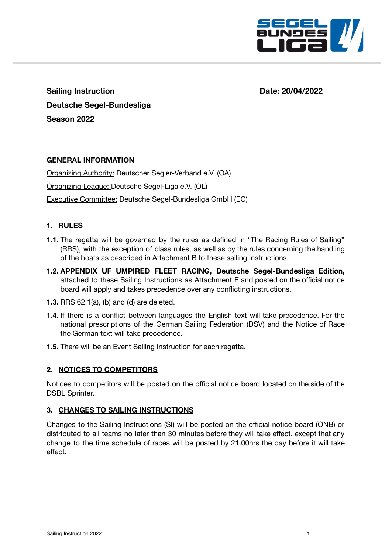

**Sailing Instruction Date: 20/04/2022 Deutsche Segel-Bundesliga Season 2022**

# **GENERAL INFORMATION**

Organizing Authority: Deutscher Segler-Verband e.V. (OA) Organizing League: Deutsche Segel-Liga e.V. (OL) Executive Committee: Deutsche Segel-Bundesliga GmbH (EC)

### **1. RULES**

- **1.1.** The regatta will be governed by the rules as defined in "The Racing Rules of Sailing" (RRS), with the exception of class rules, as well as by the rules concerning the handling of the boats as described in Attachment B to these sailing instructions.
- **1.2. APPENDIX UF UMPIRED FLEET RACING, Deutsche Segel-Bundesliga Edition,** attached to these Sailing Instructions as Attachment E and posted on the official notice board will apply and takes precedence over any conflicting instructions.
- **1.3.** RRS 62.1(a), (b) and (d) are deleted.
- **1.4.** If there is a conflict between languages the English text will take precedence. For the national prescriptions of the German Sailing Federation (DSV) and the Notice of Race the German text will take precedence.
- **1.5.** There will be an Event Sailing Instruction for each regatta.

# **2. NOTICES TO COMPETITORS**

Notices to competitors will be posted on the official notice board located on the side of the DSBL Sprinter.

#### **3. CHANGES TO SAILING INSTRUCTIONS**

Changes to the Sailing Instructions (SI) will be posted on the official notice board (ONB) or distributed to all teams no later than 30 minutes before they will take effect, except that any change to the time schedule of races will be posted by 21.00hrs the day before it will take effect.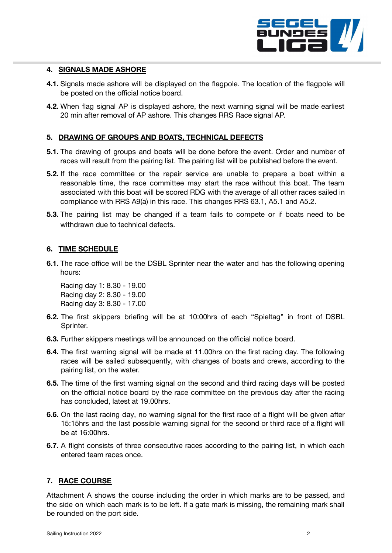

# **4. SIGNALS MADE ASHORE**

- **4.1.** Signals made ashore will be displayed on the flagpole. The location of the flagpole will be posted on the official notice board.
- **4.2.** When flag signal AP is displayed ashore, the next warning signal will be made earliest 20 min after removal of AP ashore. This changes RRS Race signal AP.

### **5. DRAWING OF GROUPS AND BOATS, TECHNICAL DEFECTS**

- **5.1.** The drawing of groups and boats will be done before the event. Order and number of races will result from the pairing list. The pairing list will be published before the event.
- **5.2.** If the race committee or the repair service are unable to prepare a boat within a reasonable time, the race committee may start the race without this boat. The team associated with this boat will be scored RDG with the average of all other races sailed in compliance with RRS A9(a) in this race. This changes RRS 63.1, A5.1 and A5.2.
- **5.3.** The pairing list may be changed if a team fails to compete or if boats need to be withdrawn due to technical defects.

### **6. TIME SCHEDULE**

**6.1.** The race office will be the DSBL Sprinter near the water and has the following opening hours:

Racing day 1: 8.30 - 19.00 Racing day 2: 8.30 - 19.00 Racing day 3: 8.30 - 17.00

- **6.2.** The first skippers briefing will be at 10:00hrs of each "Spieltag" in front of DSBL Sprinter.
- **6.3.** Further skippers meetings will be announced on the official notice board.
- **6.4.** The first warning signal will be made at 11.00hrs on the first racing day. The following races will be sailed subsequently, with changes of boats and crews, according to the pairing list, on the water.
- **6.5.** The time of the first warning signal on the second and third racing days will be posted on the official notice board by the race committee on the previous day after the racing has concluded, latest at 19.00hrs.
- **6.6.** On the last racing day, no warning signal for the first race of a flight will be given after 15:15hrs and the last possible warning signal for the second or third race of a flight will be at 16:00hrs.
- **6.7.** A flight consists of three consecutive races according to the pairing list, in which each entered team races once.

#### **7. RACE COURSE**

Attachment A shows the course including the order in which marks are to be passed, and the side on which each mark is to be left. If a gate mark is missing, the remaining mark shall be rounded on the port side.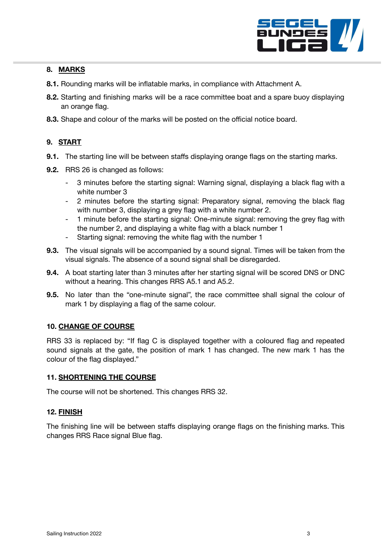

# **8. MARKS**

- **8.1.** Rounding marks will be inflatable marks, in compliance with Attachment A.
- **8.2.** Starting and finishing marks will be a race committee boat and a spare buoy displaying an orange flag.
- **8.3.** Shape and colour of the marks will be posted on the official notice board.

# **9. START**

- **9.1.** The starting line will be between staffs displaying orange flags on the starting marks.
- **9.2.** RRS 26 is changed as follows:
	- 3 minutes before the starting signal: Warning signal, displaying a black flag with a white number 3
	- 2 minutes before the starting signal: Preparatory signal, removing the black flag with number 3, displaying a grey flag with a white number 2.
	- 1 minute before the starting signal: One-minute signal: removing the grey flag with the number 2, and displaying a white flag with a black number 1
	- Starting signal: removing the white flag with the number 1
- **9.3.** The visual signals will be accompanied by a sound signal. Times will be taken from the visual signals. The absence of a sound signal shall be disregarded.
- **9.4.** A boat starting later than 3 minutes after her starting signal will be scored DNS or DNC without a hearing. This changes RRS A5.1 and A5.2.
- **9.5.** No later than the "one-minute signal", the race committee shall signal the colour of mark 1 by displaying a flag of the same colour.

# **10. CHANGE OF COURSE**

RRS 33 is replaced by: "If flag C is displayed together with a coloured flag and repeated sound signals at the gate, the position of mark 1 has changed. The new mark 1 has the colour of the flag displayed."

# **11. SHORTENING THE COURSE**

The course will not be shortened. This changes RRS 32.

# **12. FINISH**

The finishing line will be between staffs displaying orange flags on the finishing marks. This changes RRS Race signal Blue flag.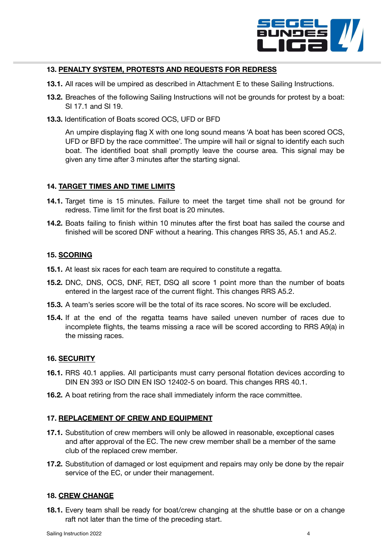

# **13. PENALTY SYSTEM, PROTESTS AND REQUESTS FOR REDRESS**

- **13.1.** All races will be umpired as described in Attachment E to these Sailing Instructions.
- **13.2.** Breaches of the following Sailing Instructions will not be grounds for protest by a boat: SI 17.1 and SI 19.
- **13.3.** Identification of Boats scored OCS, UFD or BFD

An umpire displaying flag X with one long sound means 'A boat has been scored OCS, UFD or BFD by the race committee'. The umpire will hail or signal to identify each such boat. The identified boat shall promptly leave the course area. This signal may be given any time after 3 minutes after the starting signal.

#### **14. TARGET TIMES AND TIME LIMITS**

- **14.1.** Target time is 15 minutes. Failure to meet the target time shall not be ground for redress. Time limit for the first boat is 20 minutes.
- **14.2.** Boats failing to finish within 10 minutes after the first boat has sailed the course and finished will be scored DNF without a hearing. This changes RRS 35, A5.1 and A5.2.

### **15. SCORING**

- **15.1.** At least six races for each team are required to constitute a regatta.
- **15.2.** DNC, DNS, OCS, DNF, RET, DSQ all score 1 point more than the number of boats entered in the largest race of the current flight. This changes RRS A5.2.
- **15.3.** A team's series score will be the total of its race scores. No score will be excluded.
- **15.4.** If at the end of the regatta teams have sailed uneven number of races due to incomplete flights, the teams missing a race will be scored according to RRS A9(a) in the missing races.

#### **16. SECURITY**

- **16.1.** RRS 40.1 applies. All participants must carry personal flotation devices according to DIN EN 393 or ISO DIN EN ISO 12402-5 on board. This changes RRS 40.1.
- **16.2.** A boat retiring from the race shall immediately inform the race committee.

#### **17. REPLACEMENT OF CREW AND EQUIPMENT**

- **17.1.** Substitution of crew members will only be allowed in reasonable, exceptional cases and after approval of the EC. The new crew member shall be a member of the same club of the replaced crew member.
- **17.2.** Substitution of damaged or lost equipment and repairs may only be done by the repair service of the EC, or under their management.

#### **18. CREW CHANGE**

**18.1.** Every team shall be ready for boat/crew changing at the shuttle base or on a change raft not later than the time of the preceding start.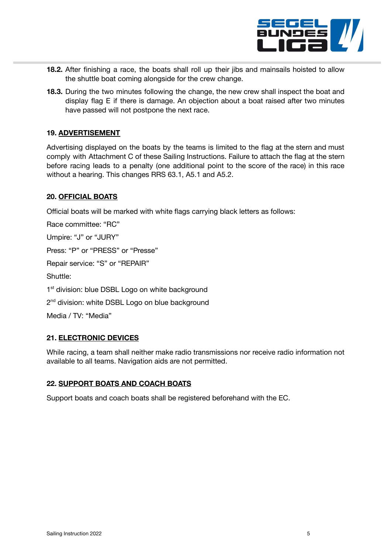

- **18.2.** After finishing a race, the boats shall roll up their jibs and mainsails hoisted to allow the shuttle boat coming alongside for the crew change.
- **18.3.** During the two minutes following the change, the new crew shall inspect the boat and display flag E if there is damage. An objection about a boat raised after two minutes have passed will not postpone the next race.

# **19. ADVERTISEMENT**

Advertising displayed on the boats by the teams is limited to the flag at the stern and must comply with Attachment C of these Sailing Instructions. Failure to attach the flag at the stern before racing leads to a penalty (one additional point to the score of the race) in this race without a hearing. This changes RRS 63.1, A5.1 and A5.2.

### **20. OFFICIAL BOATS**

Official boats will be marked with white flags carrying black letters as follows:

Race committee: "RC"

Umpire: "J" or "JURY"

Press: "P" or "PRESS" or "Presse"

Repair service: "S" or "REPAIR"

Shuttle:

1<sup>st</sup> division: blue DSBL Logo on white background

2<sup>nd</sup> division: white DSBL Logo on blue background

Media / TV: "Media"

# **21. ELECTRONIC DEVICES**

While racing, a team shall neither make radio transmissions nor receive radio information not available to all teams. Navigation aids are not permitted.

# **22. SUPPORT BOATS AND COACH BOATS**

Support boats and coach boats shall be registered beforehand with the EC.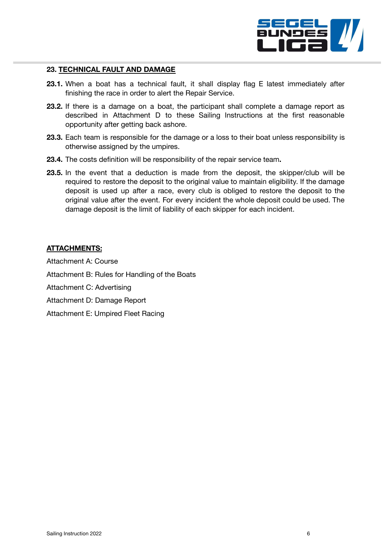

#### **23. TECHNICAL FAULT AND DAMAGE**

- **23.1.** When a boat has a technical fault, it shall display flag E latest immediately after finishing the race in order to alert the Repair Service.
- **23.2.** If there is a damage on a boat, the participant shall complete a damage report as described in Attachment D to these Sailing Instructions at the first reasonable opportunity after getting back ashore.
- **23.3.** Each team is responsible for the damage or a loss to their boat unless responsibility is otherwise assigned by the umpires.
- **23.4.** The costs definition will be responsibility of the repair service team**.**
- **23.5.** In the event that a deduction is made from the deposit, the skipper/club will be required to restore the deposit to the original value to maintain eligibility. If the damage deposit is used up after a race, every club is obliged to restore the deposit to the original value after the event. For every incident the whole deposit could be used. The damage deposit is the limit of liability of each skipper for each incident.

# **ATTACHMENTS:**

Attachment A: Course Attachment B: Rules for Handling of the Boats Attachment C: Advertising Attachment D: Damage Report Attachment E: Umpired Fleet Racing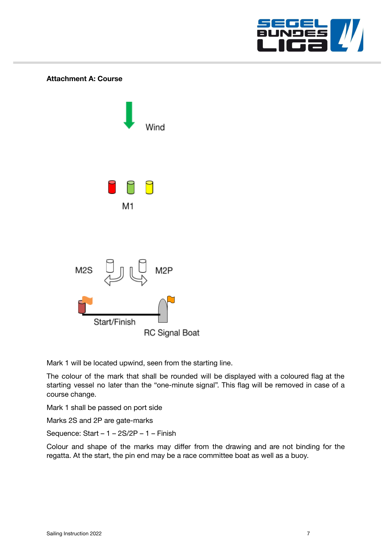



Mark 1 will be located upwind, seen from the starting line.

The colour of the mark that shall be rounded will be displayed with a coloured flag at the starting vessel no later than the "one-minute signal". This flag will be removed in case of a course change.

Mark 1 shall be passed on port side

Marks 2S and 2P are gate-marks

Sequence: Start – 1 – 2S/2P – 1 – Finish

Colour and shape of the marks may differ from the drawing and are not binding for the regatta. At the start, the pin end may be a race committee boat as well as a buoy.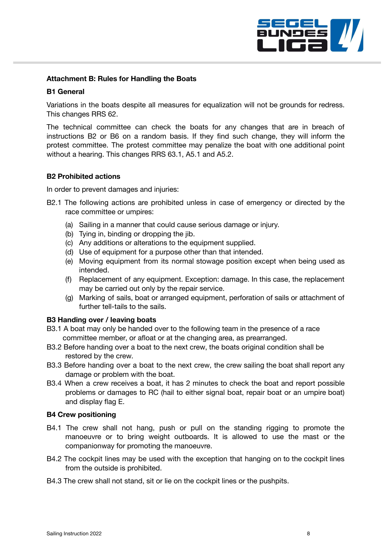

# **Attachment B: Rules for Handling the Boats**

#### **B1 General**

Variations in the boats despite all measures for equalization will not be grounds for redress. This changes RRS 62.

The technical committee can check the boats for any changes that are in breach of instructions B2 or B6 on a random basis. If they find such change, they will inform the protest committee. The protest committee may penalize the boat with one additional point without a hearing. This changes RRS 63.1, A5.1 and A5.2.

### **B2 Prohibited actions**

In order to prevent damages and injuries:

- B2.1 The following actions are prohibited unless in case of emergency or directed by the race committee or umpires:
	- (a) Sailing in a manner that could cause serious damage or injury.
	- (b) Tying in, binding or dropping the jib.
	- (c) Any additions or alterations to the equipment supplied.
	- (d) Use of equipment for a purpose other than that intended.
	- (e) Moving equipment from its normal stowage position except when being used as intended.
	- (f) Replacement of any equipment. Exception: damage. In this case, the replacement may be carried out only by the repair service.
	- (g) Marking of sails, boat or arranged equipment, perforation of sails or attachment of further tell-tails to the sails.

#### **B3 Handing over / leaving boats**

- B3.1 A boat may only be handed over to the following team in the presence of a race committee member, or afloat or at the changing area, as prearranged.
- B3.2 Before handing over a boat to the next crew, the boats original condition shall be restored by the crew.
- B3.3 Before handing over a boat to the next crew, the crew sailing the boat shall report any damage or problem with the boat.
- B3.4 When a crew receives a boat, it has 2 minutes to check the boat and report possible problems or damages to RC (hail to either signal boat, repair boat or an umpire boat) and display flag E.

#### **B4 Crew positioning**

- B4.1 The crew shall not hang, push or pull on the standing rigging to promote the manoeuvre or to bring weight outboards. It is allowed to use the mast or the companionway for promoting the manoeuvre.
- B4.2 The cockpit lines may be used with the exception that hanging on to the cockpit lines from the outside is prohibited.
- B4.3 The crew shall not stand, sit or lie on the cockpit lines or the pushpits.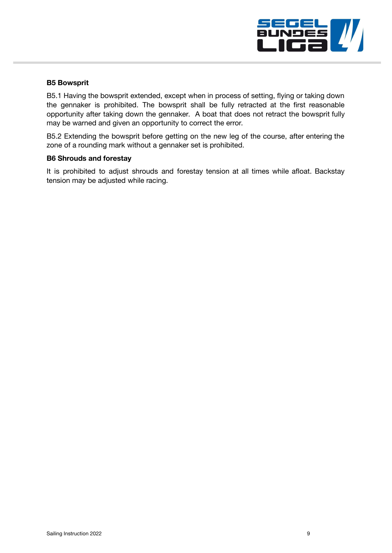

### **B5 Bowsprit**

B5.1 Having the bowsprit extended, except when in process of setting, flying or taking down the gennaker is prohibited. The bowsprit shall be fully retracted at the first reasonable opportunity after taking down the gennaker. A boat that does not retract the bowsprit fully may be warned and given an opportunity to correct the error.

B5.2 Extending the bowsprit before getting on the new leg of the course, after entering the zone of a rounding mark without a gennaker set is prohibited.

### **B6 Shrouds and forestay**

It is prohibited to adjust shrouds and forestay tension at all times while afloat. Backstay tension may be adjusted while racing.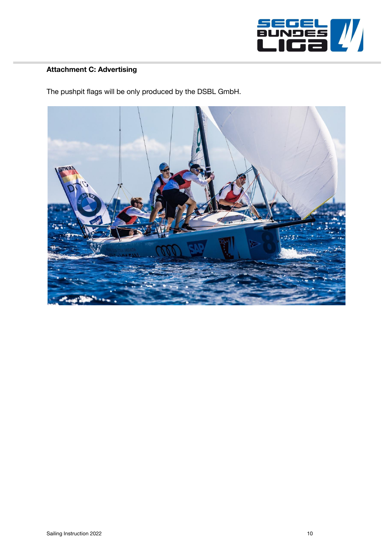

# **Attachment C: Advertising**

The pushpit flags will be only produced by the DSBL GmbH.

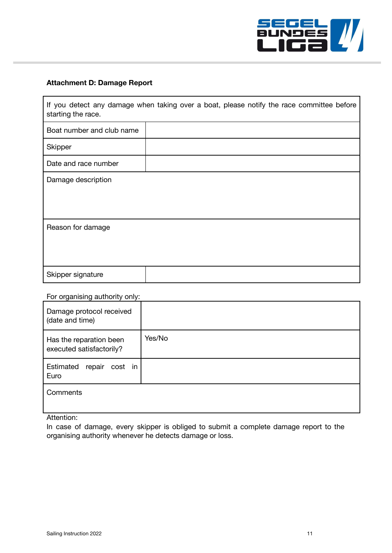

# **Attachment D: Damage Report**

| If you detect any damage when taking over a boat, please notify the race committee before<br>starting the race. |  |
|-----------------------------------------------------------------------------------------------------------------|--|
| Boat number and club name                                                                                       |  |
| Skipper                                                                                                         |  |
| Date and race number                                                                                            |  |
| Damage description                                                                                              |  |
| Reason for damage                                                                                               |  |
| Skipper signature                                                                                               |  |

# For organising authority only:

| Damage protocol received<br>(date and time)         |        |
|-----------------------------------------------------|--------|
| Has the reparation been<br>executed satisfactorily? | Yes/No |
| Estimated<br>repair cost in<br>Euro                 |        |
| Comments                                            |        |

# Attention:

In case of damage, every skipper is obliged to submit a complete damage report to the organising authority whenever he detects damage or loss.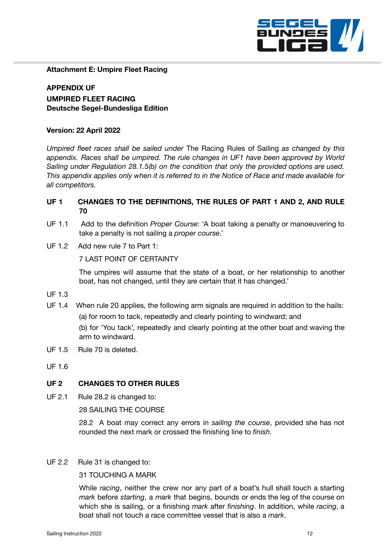

#### **Attachment E: Umpire Fleet Racing**

**APPENDIX UF UMPIRED FLEET RACING Deutsche Segel-Bundesliga Edition**

#### **Version: 22 April 2022**

*Umpired fleet races shall be sailed under* The Racing Rules of Sailing *as changed by this appendix. Races shall be umpired. The rule changes in UF1 have been approved by World Sailing under Regulation 28.1.5(b) on the condition that only the provided options are used. This appendix applies only when it is referred to in the Notice of Race and made available for all competitors.*

# **UF 1 CHANGES TO THE DEFINITIONS, THE RULES OF PART 1 AND 2, AND RULE 70**

- UF 1.1 Add to the definition *Proper Course*: 'A boat taking a penalty or manoeuvering to take a penalty is not sailing a *proper course*.'
- UF 1.2 Add new rule 7 to Part 1:

7 LAST POINT OF CERTAINTY

The umpires will assume that the state of a boat, or her relationship to another boat, has not changed, until they are certain that it has changed.'

- UF 1.3
- UF 1.4 When rule 20 applies, the following arm signals are required in addition to the hails: (a) for room to tack, repeatedly and clearly pointing to windward; and (b) for 'You tack', repeatedly and clearly pointing at the other boat and waving the arm to windward.
- UF 1.5 Rule 70 is deleted.
- UF 1.6

#### **UF 2 CHANGES TO OTHER RULES**

UF 2.1 Rule 28.2 is changed to:

28 SAILING THE COURSE

28.2 A boat may correct any errors in *sailing the course*, provided she has not rounded the next mark or crossed the finishing line to *finish*.

#### UF 2.2 Rule 31 is changed to:

31 TOUCHING A MARK

While *racing*, neither the crew nor any part of a boat's hull shall touch a starting *mark* before *starting*, a *mark* that begins, bounds or ends the leg of the course on which she is sailing, or a finishing *mark* after *finishing*. In addition, while *racing*, a boat shall not touch a race committee vessel that is also a *mark*.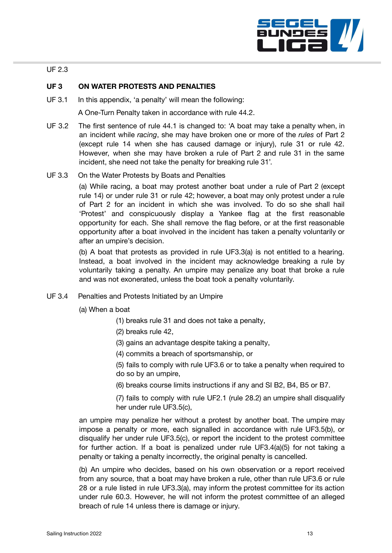

# UF 2.3

# **UF 3 ON WATER PROTESTS AND PENALTIES**

UF 3.1 In this appendix, 'a penalty' will mean the following:

A One-Turn Penalty taken in accordance with rule 44.2.

- UF 3.2 The first sentence of rule 44.1 is changed to: 'A boat may take a penalty when, in an incident while *racing*, she may have broken one or more of the *rules* of Part 2 (except rule 14 when she has caused damage or injury), rule 31 or rule 42. However, when she may have broken a rule of Part 2 and rule 31 in the same incident, she need not take the penalty for breaking rule 31'.
- UF 3.3 On the Water Protests by Boats and Penalties

(a) While racing, a boat may protest another boat under a rule of Part 2 (except rule 14) or under rule 31 or rule 42; however, a boat may only protest under a rule of Part 2 for an incident in which she was involved. To do so she shall hail 'Protest' and conspicuously display a Yankee flag at the first reasonable opportunity for each. She shall remove the flag before, or at the first reasonable opportunity after a boat involved in the incident has taken a penalty voluntarily or after an umpire's decision.

(b) A boat that protests as provided in rule UF3.3(a) is not entitled to a hearing. Instead, a boat involved in the incident may acknowledge breaking a rule by voluntarily taking a penalty. An umpire may penalize any boat that broke a rule and was not exonerated, unless the boat took a penalty voluntarily.

UF 3.4 Penalties and Protests Initiated by an Umpire

(a) When a boat

- (1) breaks rule 31 and does not take a penalty,
- (2) breaks rule 42,
- (3) gains an advantage despite taking a penalty,
- (4) commits a breach of sportsmanship, or
- (5) fails to comply with rule UF3.6 or to take a penalty when required to do so by an umpire,
- (6) breaks course limits instructions if any and SI B2, B4, B5 or B7.

(7) fails to comply with rule UF2.1 (rule 28.2) an umpire shall disqualify her under rule UF3.5(c),

an umpire may penalize her without a protest by another boat. The umpire may impose a penalty or more, each signalled in accordance with rule UF3.5(b), or disqualify her under rule UF3.5(c), or report the incident to the protest committee for further action. If a boat is penalized under rule UF3.4(a)(5) for not taking a penalty or taking a penalty incorrectly, the original penalty is cancelled.

(b) An umpire who decides, based on his own observation or a report received from any source, that a boat may have broken a rule, other than rule UF3.6 or rule 28 or a rule listed in rule UF3.3(a), may inform the protest committee for its action under rule 60.3. However, he will not inform the protest committee of an alleged breach of rule 14 unless there is damage or injury.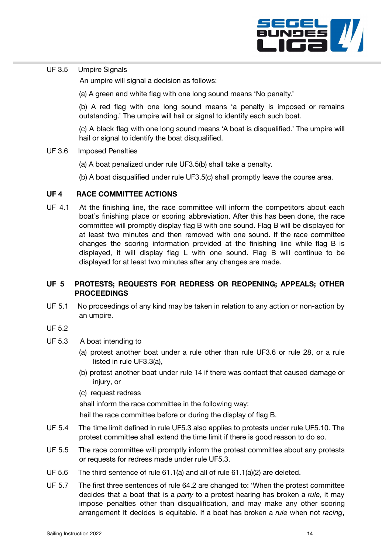

# UF 3.5 Umpire Signals

An umpire will signal a decision as follows:

(a) A green and white flag with one long sound means 'No penalty.'

(b) A red flag with one long sound means 'a penalty is imposed or remains outstanding.' The umpire will hail or signal to identify each such boat.

(c) A black flag with one long sound means 'A boat is disqualified.' The umpire will hail or signal to identify the boat disqualified.

#### UF 3.6 Imposed Penalties

- (a) A boat penalized under rule UF3.5(b) shall take a penalty.
- (b) A boat disqualified under rule UF3.5(c) shall promptly leave the course area.

### **UF 4 RACE COMMITTEE ACTIONS**

UF 4.1 At the finishing line, the race committee will inform the competitors about each boat's finishing place or scoring abbreviation. After this has been done, the race committee will promptly display flag B with one sound. Flag B will be displayed for at least two minutes and then removed with one sound. If the race committee changes the scoring information provided at the finishing line while flag B is displayed, it will display flag L with one sound. Flag B will continue to be displayed for at least two minutes after any changes are made.

# **UF 5 PROTESTS; REQUESTS FOR REDRESS OR REOPENING; APPEALS; OTHER PROCEEDINGS**

UF 5.1 No proceedings of any kind may be taken in relation to any action or non-action by an umpire.

# UF 5.2

- UF 5.3 A boat intending to
	- (a) protest another boat under a rule other than rule UF3.6 or rule 28, or a rule listed in rule UF3.3(a),
	- (b) protest another boat under rule 14 if there was contact that caused damage or injury, or
	- (c) request redress

shall inform the race committee in the following way:

hail the race committee before or during the display of flag B.

- UF 5.4 The time limit defined in rule UF5.3 also applies to protests under rule UF5.10. The protest committee shall extend the time limit if there is good reason to do so.
- UF 5.5 The race committee will promptly inform the protest committee about any protests or requests for redress made under rule UF5.3.
- UF 5.6 The third sentence of rule 61.1(a) and all of rule 61.1(a)(2) are deleted.
- UF 5.7 The first three sentences of rule 64.2 are changed to: 'When the protest committee decides that a boat that is a *party* to a protest hearing has broken a *rule*, it may impose penalties other than disqualification, and may make any other scoring arrangement it decides is equitable. If a boat has broken a *rule* when not *racing*,